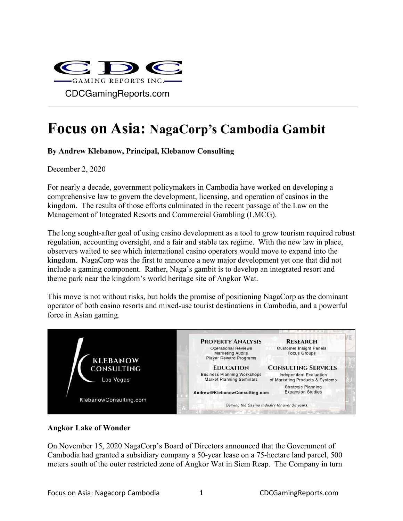

# **Focus on Asia: NagaCorp's Cambodia Gambit**

## **By Andrew Klebanow, Principal, Klebanow Consulting**

December 2,  $2020$ 

For nearly a decade, government policymakers in Cambodia have worked on developing a comprehensive law to govern the development, licensing, and operation of casinos in the kingdom. The results of those efforts culminated in the recent passage of the Law on the Management of Integrated Resorts and Commercial Gambling (LMCG).

The long sought-after goal of using casino development as a tool to grow tourism required robust regulation, accounting oversight, and a fair and stable tax regime. With the new law in place, observers waited to see which international casino operators would move to expand into the kingdom. NagaCorp was the first to announce a new major development yet one that did not include a gaming component. Rather, Naga's gambit is to develop an integrated resort and theme park near the kingdom's world heritage site of Angkor Wat.

This move is not without risks, but holds the promise of positioning NagaCorp as the dominant operator of both casino resorts and mixed-use tourist destinations in Cambodia, and a powerful force in Asian gaming.



#### **Angkor Lake of Wonder**

On November 15, 2020 NagaCorp's Board of Directors announced that the Government of Cambodia had granted a subsidiary company a 50-year lease on a 75-hectare land parcel, 500 meters south of the outer restricted zone of Angkor Wat in Siem Reap. The Company in turn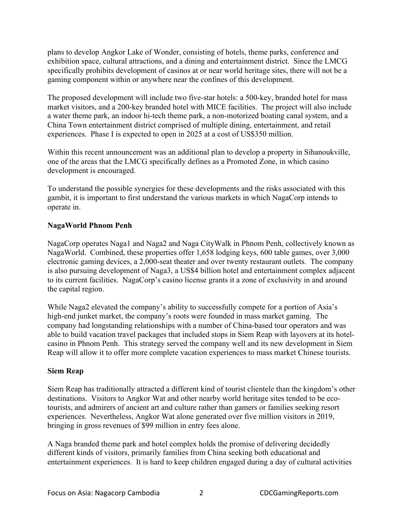plans to develop Angkor Lake of Wonder, consisting of hotels, theme parks, conference and exhibition space, cultural attractions, and a dining and entertainment district. Since the LMCG specifically prohibits development of casinos at or near world heritage sites, there will not be a gaming component within or anywhere near the confines of this development.

The proposed development will include two five-star hotels: a 500-key, branded hotel for mass market visitors, and a 200-key branded hotel with MICE facilities. The project will also include a water theme park, an indoor hi-tech theme park, a non-motorized boating canal system, and a China Town entertainment district comprised of multiple dining, entertainment, and retail experiences. Phase I is expected to open in 2025 at a cost of US\$350 million.

Within this recent announcement was an additional plan to develop a property in Sihanoukville, one of the areas that the LMCG specifically defines as a Promoted Zone, in which casino development is encouraged.

To understand the possible synergies for these developments and the risks associated with this gambit, it is important to first understand the various markets in which NagaCorp intends to operate in.

## **NagaWorld Phnom Penh**

NagaCorp operates Naga1 and Naga2 and Naga CityWalk in Phnom Penh, collectively known as NagaWorld. Combined, these properties offer 1,658 lodging keys, 600 table games, over 3,000 electronic gaming devices, a 2,000-seat theater and over twenty restaurant outlets. The company is also pursuing development of Naga3, a US\$4 billion hotel and entertainment complex adjacent to its current facilities. NagaCorp's casino license grants it a zone of exclusivity in and around the capital region.

While Naga2 elevated the company's ability to successfully compete for a portion of Asia's high-end junket market, the company's roots were founded in mass market gaming. The company had longstanding relationships with a number of China-based tour operators and was able to build vacation travel packages that included stops in Siem Reap with layovers at its hotelcasino in Phnom Penh. This strategy served the company well and its new development in Siem Reap will allow it to offer more complete vacation experiences to mass market Chinese tourists.

## **Siem Reap**

Siem Reap has traditionally attracted a different kind of tourist clientele than the kingdom's other destinations. Visitors to Angkor Wat and other nearby world heritage sites tended to be ecotourists, and admirers of ancient art and culture rather than gamers or families seeking resort experiences. Nevertheless, Angkor Wat alone generated over five million visitors in 2019, bringing in gross revenues of \$99 million in entry fees alone.

A Naga branded theme park and hotel complex holds the promise of delivering decidedly different kinds of visitors, primarily families from China seeking both educational and entertainment experiences. It is hard to keep children engaged during a day of cultural activities